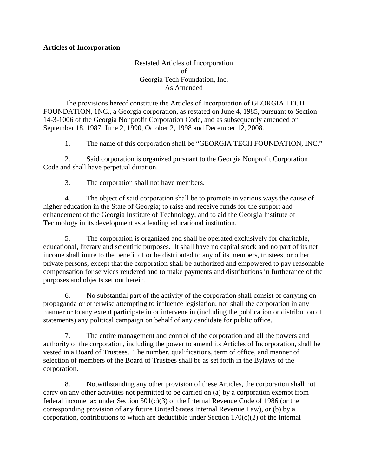## **Articles of Incorporation**

Restated Articles of Incorporation of Georgia Tech Foundation, Inc. As Amended

The provisions hereof constitute the Articles of Incorporation of GEORGIA TECH FOUNDATION, 1NC., a Georgia corporation, as restated on June 4, 1985, pursuant to Section 14-3-1006 of the Georgia Nonprofit Corporation Code, and as subsequently amended on September 18, 1987, June 2, 1990, October 2, 1998 and December 12, 2008.

1. The name of this corporation shall be "GEORGIA TECH FOUNDATION, INC."

2. Said corporation is organized pursuant to the Georgia Nonprofit Corporation Code and shall have perpetual duration.

3. The corporation shall not have members.

4. The object of said corporation shall be to promote in various ways the cause of higher education in the State of Georgia; to raise and receive funds for the support and enhancement of the Georgia Institute of Technology; and to aid the Georgia Institute of Technology in its development as a leading educational institution.

5. The corporation is organized and shall be operated exclusively for charitable, educational, literary and scientific purposes. It shall have no capital stock and no part of its net income shall inure to the benefit of or be distributed to any of its members, trustees, or other private persons, except that the corporation shall be authorized and empowered to pay reasonable compensation for services rendered and to make payments and distributions in furtherance of the purposes and objects set out herein.

6. No substantial part of the activity of the corporation shall consist of carrying on propaganda or otherwise attempting to influence legislation; nor shall the corporation in any manner or to any extent participate in or intervene in (including the publication or distribution of statements) any political campaign on behalf of any candidate for public office.

7. The entire management and control of the corporation and all the powers and authority of the corporation, including the power to amend its Articles of Incorporation, shall be vested in a Board of Trustees. The number, qualifications, term of office, and manner of selection of members of the Board of Trustees shall be as set forth in the Bylaws of the corporation.

8. Notwithstanding any other provision of these Articles, the corporation shall not carry on any other activities not permitted to be carried on (a) by a corporation exempt from federal income tax under Section 501(c)(3) of the Internal Revenue Code of 1986 (or the corresponding provision of any future United States Internal Revenue Law), or (b) by a corporation, contributions to which are deductible under Section  $170(c)(2)$  of the Internal